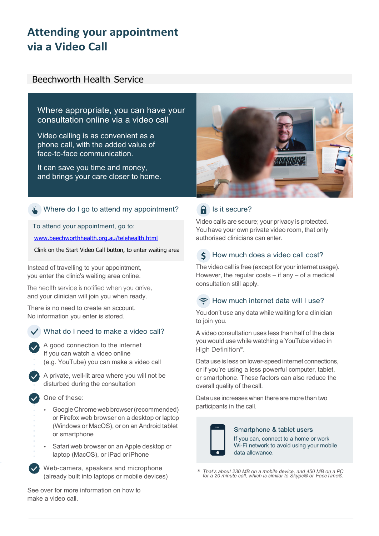# **Attending your appointment via a Video Call**

## Beechworth Health Service

Where appropriate, you can have your consultation online via a video call

Video calling is as convenient as a phone call, with the added value of face-to-face communication.

It can save you time and money, and brings your care closer to home.



## Where do I go to attend my appointment?

To attend your appointment, go to: www.beechworthhealth.org.au/telehealth.html

Clink on the Start Video Call button, to enter waiting area

Instead of travelling to your appointment, you enter the clinic's waiting area online.

The health service is notified when you arrive, and your clinician will join you when ready.

There is no need to create an account. No information you enter is stored.

## What do I need to make a video call?

A good connection to the internet If you can watch a video online (e.g. YouTube) you can make a video call

A private, well-lit area where you will not be disturbed during the consultation

One of these:

- Google Chrome web browser (recommended) or Firefox web browser on a desktop or laptop (Windows or MacOS), or on an Android tablet or smartphone
- Safari web browser on an Apple desktop or laptop (MacOS), or iPad oriPhone

Web-camera, speakers and microphone (already built into laptops or mobile devices)

See over for more information on how to make a video call.

## $\theta$  Is it secure?

Video calls are secure; your privacy is protected. You have your own private video room, that only authorised clinicians can enter.

#### How much does a video call cost?  $\zeta$

The video call is free (except for your internet usage). However, the regular costs – if any – of a medical consultation still apply.

### Reflexed How much internet data will I use?

You don't use any data while waiting for a clinician to join you.

A video consultation uses less than half of the data you would use while watching a YouTube video in High Definition\*.

Data use is less on lower-speedinternet connections, or if you're using a less powerful computer, tablet, or smartphone. These factors can also reduce the overall quality of the call.

Data use increases when there are more than two participants in the call.



### Smartphone & tablet users If you can, connect to a home or work

Wi-Fi network to avoid using your mobile data allowance.

\* *That's about 230 MB on a mobile device, and 450 MB on a PC for a 20 minute call, which is similar to Skype® or FaceTime®.*